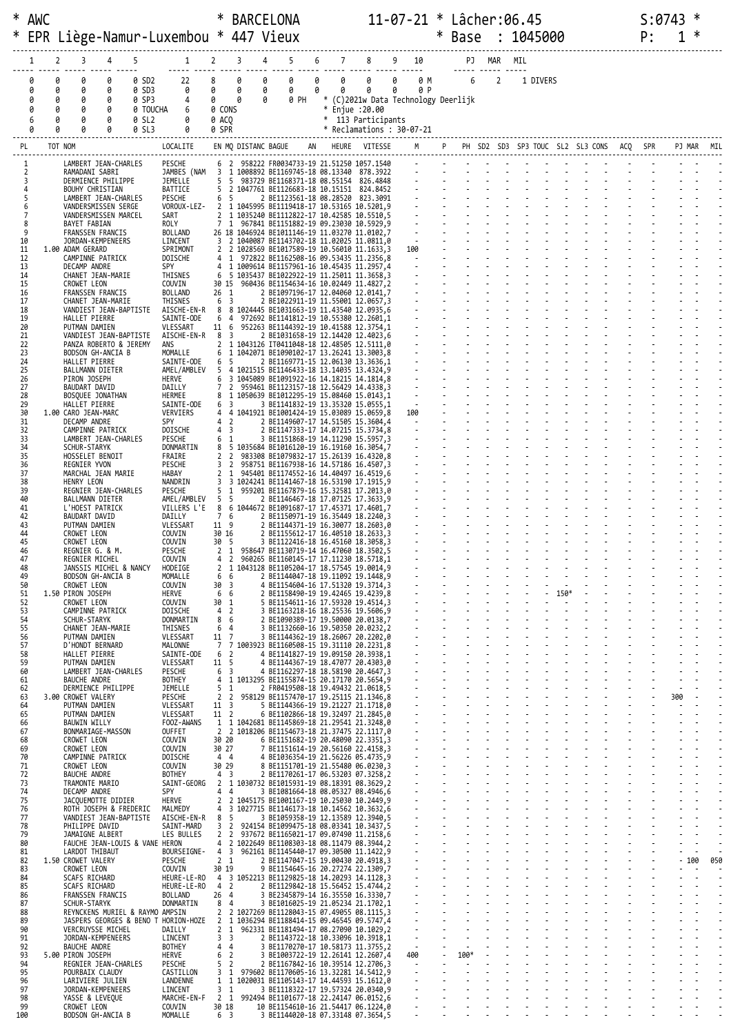| * AWC    |                     |         |                                              |                                              |                |                                                                                            |                                      |           | <b>BARCELONA</b>                                                                                                     |   |                               |                                      |                                                                                                                 |     | 11-07-21 * Lâcher:06.45 |                      |  |                |  |                                   |  |                                 |  | S:0743 |    |     |        |            |
|----------|---------------------|---------|----------------------------------------------|----------------------------------------------|----------------|--------------------------------------------------------------------------------------------|--------------------------------------|-----------|----------------------------------------------------------------------------------------------------------------------|---|-------------------------------|--------------------------------------|-----------------------------------------------------------------------------------------------------------------|-----|-------------------------|----------------------|--|----------------|--|-----------------------------------|--|---------------------------------|--|--------|----|-----|--------|------------|
| ∗        |                     |         |                                              |                                              |                | EPR Liège-Namur-Luxembou * 447 Vieux                                                       |                                      |           |                                                                                                                      |   |                               |                                      |                                                                                                                 |     | $\ast$                  | Base : 1045000       |  |                |  |                                   |  |                                 |  |        | P: |     |        |            |
|          |                     |         |                                              |                                              |                |                                                                                            |                                      |           |                                                                                                                      |   |                               |                                      |                                                                                                                 |     |                         |                      |  |                |  |                                   |  |                                 |  |        |    |     |        |            |
|          | 1                   | 2       | 3                                            | 4                                            | 5              |                                                                                            |                                      |           | 1 2 3 4 5 6 7 8 9 10 PJ MAR MIL                                                                                      |   |                               |                                      |                                                                                                                 |     |                         |                      |  |                |  |                                   |  |                                 |  |        |    |     |        |            |
|          | 0<br>0              | 0<br>0  | 0<br>0                                       | 0<br>0                                       | 0 SD2<br>0 SD3 | 22<br>0                                                                                    | 8 <sup>1</sup><br>$\theta$           | 0<br>0    | $\theta$<br>0<br>$\theta$<br>$\theta$                                                                                | 0 | $\theta$ $\theta$<br>$\theta$ | $\theta$                             | 0 0 0 M 6<br>$\theta$                                                                                           | 0 P |                         |                      |  | $\overline{2}$ |  | 1 DIVERS                          |  |                                 |  |        |    |     |        |            |
|          | 0                   | 0       | 0                                            | 0                                            | 0 SP3          | 4                                                                                          | $\theta$ $\theta$                    |           | 0 0 PH                                                                                                               |   |                               | * (C)2021w Data Technology Deerlijk  |                                                                                                                 |     |                         |                      |  |                |  |                                   |  |                                 |  |        |    |     |        |            |
|          | 0<br>6              |         | 0<br>0                                       | 0<br>0                                       | 0 SL2          | 0 TOUCHA 6<br>0                                                                            | 0 CONS<br>0 ACQ                      |           |                                                                                                                      |   |                               | * Enjue :20.00<br>* 113 Participants |                                                                                                                 |     |                         |                      |  |                |  |                                   |  |                                 |  |        |    |     |        |            |
|          | ø                   |         | 0                                            | 0                                            | 0 SL3          | 0                                                                                          | 0 SPR                                |           |                                                                                                                      |   |                               | * Reclamations: 30-07-21             |                                                                                                                 |     |                         |                      |  |                |  |                                   |  |                                 |  |        |    |     |        |            |
| PL       |                     | TOT NOM |                                              |                                              |                | LOCALITE                                                                                   |                                      |           | EN MQ DISTANC BAGUE AN HEURE VITESSE                                                                                 |   |                               |                                      |                                                                                                                 |     |                         |                      |  |                |  |                                   |  |                                 |  |        |    |     |        | PJ MAR MIL |
|          |                     |         |                                              | LAMBERT JEAN-CHARLES                         |                | PESCHE                                                                                     |                                      |           | 6 2 958222 FR0034733-19 21.51250 1057.1540                                                                           |   |                               |                                      | and the state of the state of the state of the state of the state of the state of the state of the state of the |     |                         |                      |  |                |  |                                   |  |                                 |  |        |    |     |        |            |
|          | 2<br>3              |         | RAMADANI SABRI                               | DERMIENCE PHILIPPE                           |                | JEMELLE                                                                                    |                                      |           | JAMBES (NAM 3 1 1008892 BE1169745-18 08.13340 878.3922<br>5 5 983729 BE1168371-18 08.55154 826.4848                  |   |                               |                                      |                                                                                                                 |     |                         |                      |  |                |  |                                   |  |                                 |  |        |    |     |        |            |
|          | 4<br>5              |         | BOUHY CHRISTIAN                              | LAMBERT JEAN-CHARLES                         |                | BATTICE<br>PESCHE                                                                          | 6 5                                  |           | 5 2 1047761 BE1126683-18 10.15151 824.8452<br>2 BE1123561-18 08.28520 823.3091                                       |   |                               |                                      |                                                                                                                 |     |                         |                      |  |                |  |                                   |  |                                 |  |        |    |     |        |            |
|          | 6<br>$\overline{7}$ |         |                                              | VANDERSMISSEN SERGE                          |                | VOROUX-LEZ-                                                                                |                                      |           | 2 1 1045995 BE1119418-17 10.53165 10.5201,9                                                                          |   |                               |                                      |                                                                                                                 |     |                         |                      |  |                |  |                                   |  |                                 |  |        |    |     |        |            |
|          | 8                   |         | BAYET FABIAN                                 | VANDERSMISSEN MARCEL                         |                | SART<br>ROLY                                                                               |                                      |           | 2 1 1035240 BE1112822-17 10.42585 10.5510,5<br>7 1 967841 BE1151882-19 09.23030 10.5929,9                            |   |                               |                                      |                                                                                                                 |     |                         |                      |  |                |  |                                   |  |                                 |  |        |    |     |        |            |
| 10       | 9                   |         |                                              | FRANSSEN FRANCIS<br>JORDAN-KEMPENEERS        |                | BOLLAND<br>LINCENT                                                                         |                                      |           | 26 18 1046924 BE1011146-19 11.03270 11.0102,7<br>3 2 1040087 BE1143702-18 11.02025 11.0811,0                         |   |                               |                                      |                                                                                                                 |     |                         |                      |  |                |  |                                   |  |                                 |  |        |    |     |        |            |
| 11<br>12 |                     |         | 1.00 ADAM GERARD                             | CAMPINNE PATRICK                             |                | SPRIMONT<br><b>DOISCHE</b>                                                                 |                                      |           | 2 2 1028569 BE1017589-19 10.56010 11.1633,3<br>4 1 972822 BE1162508-16 09.53435 11.2356,8                            |   |                               |                                      |                                                                                                                 |     |                         |                      |  |                |  |                                   |  |                                 |  |        |    |     |        |            |
| 13<br>14 |                     |         | DECAMP ANDRE                                 | CHANET JEAN-MARIE                            |                | SPY<br>THISNES                                                                             |                                      |           | 4 1 1009614 BE1157961-16 10.45435 11.2957,4<br>6 5 1035437 BE1022922-19 11.25011 11.3658,3                           |   |                               |                                      |                                                                                                                 |     |                         |                      |  |                |  |                                   |  |                                 |  |        |    |     |        |            |
| 15       |                     |         | CROWET LEON                                  |                                              |                | COUVIN                                                                                     |                                      |           | 30 15 960436 BE1154634-16 10.02449 11.4827,2                                                                         |   |                               |                                      |                                                                                                                 |     |                         |                      |  |                |  |                                   |  |                                 |  |        |    |     |        |            |
| 16<br>17 |                     |         |                                              | FRANSSEN FRANCIS<br>CHANET JEAN-MARIE        |                | BOLLAND<br>THISNES                                                                         | $26 \quad 1$<br>6 3                  |           | 2 BE1097196-17 12.04060 12.0141,7<br>2 BE1022911-19 11.55001 12.0657,3                                               |   |                               |                                      |                                                                                                                 |     |                         |                      |  |                |  |                                   |  |                                 |  |        |    |     |        |            |
| 18<br>19 |                     |         | HALLET PIERRE                                | VANDIEST JEAN-BAPTISTE                       |                | AISCHE-EN-R 8 8 1024445 BE1031663-19 11.43540 12.0935,6<br>SAINTE-ODE                      |                                      |           | 6 4 972692 BE1141812-19 10.55380 12.2601,1                                                                           |   |                               |                                      |                                                                                                                 |     |                         |                      |  |                |  |                                   |  |                                 |  |        |    |     |        |            |
| 20<br>21 |                     |         | PUTMAN DAMIEN                                | VANDIEST JEAN-BAPTISTE                       |                | VLESSART<br>AISCHE-EN-R                                                                    | 8 3                                  |           | 11 6 952263 BE1144392-19 10.41588 12.3754,1<br>2 BE1031658-19 12.14420 12.4023,6                                     |   |                               |                                      |                                                                                                                 |     |                         |                      |  |                |  |                                   |  |                                 |  |        |    |     |        |            |
| 22       |                     |         |                                              | PANZA ROBERTO & JEREMY                       |                | ans                                                                                        |                                      |           | 2 1 1043126 IT0411048-18 12.48505 12.5111,0                                                                          |   |                               |                                      |                                                                                                                 |     |                         |                      |  |                |  |                                   |  |                                 |  |        |    |     |        |            |
| 23<br>24 |                     |         | HALLET PIERRE                                | BODSON GH-ANCIA B                            |                | MOMALLE<br>SAINTE-ODE                                                                      | 6<br>6 5                             |           | 1 1042071 BE1090102-17 13.26241 13.3003,8<br>2 BE1169771-15 12.06130 13.3636,1                                       |   |                               |                                      |                                                                                                                 |     |                         |                      |  |                |  |                                   |  |                                 |  |        |    |     |        |            |
| 25<br>26 |                     |         | BALLMANN DIETER<br>PIRON JOSEPH              |                                              |                | AMEL/AMBLEV<br>HERVE                                                                       | 6                                    |           | 5 4 1021515 BE1146433-18 13.14035 13.4324,9<br>3 1045089 BE1091922-16 14.18215 14.1814,8                             |   |                               |                                      |                                                                                                                 |     |                         |                      |  |                |  |                                   |  |                                 |  |        |    |     |        |            |
| 27<br>28 |                     |         | BAUDART DAVID                                | BOSQUEE JONATHAN                             |                | DAILLY<br>HERMEE                                                                           | $7^{\circ}$                          |           | 2 959461 BE1123157-18 12.56429 14.4338,3<br>8 1 1050639 BE1012295-19 15.08460 15.0143,1                              |   |                               |                                      |                                                                                                                 |     |                         |                      |  |                |  |                                   |  |                                 |  |        |    |     |        |            |
| 29<br>30 |                     |         | HALLET PIERRE<br>1.00 CARO JEAN-MARC         |                                              |                | SAINTE-ODE<br>VERVIERS                                                                     | 6 3                                  |           | 3 BE1141832-19 13.35320 15.0555,1<br>4 4 1041921 BE1001424-19 15.03089 15.0659,8                                     |   |                               |                                      |                                                                                                                 |     |                         |                      |  |                |  |                                   |  |                                 |  |        |    |     |        |            |
| 31       |                     |         | DECAMP ANDRE                                 |                                              |                | SPY                                                                                        |                                      | $4\quad2$ | 2 BE1149607-17 14.51505 15.3604,4                                                                                    |   |                               |                                      | $\frac{1}{2} \frac{1}{2} \frac{1}{2}$                                                                           |     |                         |                      |  |                |  |                                   |  | and a state of the state of the |  |        |    |     |        |            |
| 32<br>33 |                     |         |                                              | CAMPINNE PATRICK<br>LAMBERT JEAN-CHARLES     |                | DOISCHE<br>PESCHE                                                                          | 4 <sub>3</sub><br>6 1                |           | 2 BE1147333-17 14.07215 15.3734,8<br>3 BE1151868-19 14.11290 15.5957,3                                               |   |                               |                                      |                                                                                                                 |     |                         |                      |  |                |  |                                   |  |                                 |  |        |    |     |        |            |
| 34<br>35 |                     |         | <b>SCHUR-STARYK</b><br>HOSSELET BENOIT       |                                              |                | DONMARTIN<br>FRAIRE                                                                        |                                      |           | 8 5 1035684 BE1016120-19 16.19160 16.3054,7<br>2 2 983308 BE1079832-17 15.26139 16.4320,8                            |   |                               |                                      |                                                                                                                 |     |                         |                      |  |                |  |                                   |  |                                 |  |        |    |     |        |            |
| 36<br>37 |                     |         | REGNIER YVON                                 | MARCHAL JEAN MARIE                           |                | PESCHE<br>HABAY                                                                            | 3 <sub>2</sub><br>$2 \quad 1$        |           | 958751 BE1167938-16 14.57186 16.4507,3<br>945401 BE1174552-16 14.40497 16.4519,6                                     |   |                               |                                      |                                                                                                                 |     |                         |                      |  |                |  |                                   |  |                                 |  |        |    |     |        |            |
| 38       |                     |         | HENRY LEON                                   |                                              |                | NANDRIN                                                                                    | 1                                    |           | 3 3 1024241 BE1141467-18 16.53190 17.1915,9<br>959201 BE1167879-16 15.32581 17.2013,0                                |   |                               |                                      |                                                                                                                 |     |                         |                      |  |                |  |                                   |  |                                 |  |        |    |     |        |            |
| 39<br>40 |                     |         | BALLMANN DIETER                              | REGNIER JEAN-CHARLES                         |                | PESCHE<br>AMEL/AMBLEV                                                                      | 5<br>5 <sub>5</sub>                  |           | 2 BE1146467-18 17.07125 17.3633,9                                                                                    |   |                               |                                      |                                                                                                                 |     |                         |                      |  |                |  |                                   |  |                                 |  |        |    |     |        |            |
| 41<br>42 |                     |         | L'HOEST PATRICK<br>BAUDART DAVID             |                                              |                | VILLERS L'E<br>DAILLY                                                                      | 8<br>7 6                             |           | 6 1044672 BE1091687-17 17.45371 17.4601,7<br>2 BE1150971-19 16.35449 18.2240,3                                       |   |                               |                                      |                                                                                                                 |     |                         |                      |  |                |  |                                   |  |                                 |  |        |    |     |        |            |
| 43<br>44 |                     |         | PUTMAN DAMIEN<br>CROWET LEON                 |                                              |                | VLESSART<br>COUVIN                                                                         | 11 9<br>30 16                        |           | 2 BE1144371-19 16.30077 18.2603,0                                                                                    |   |                               |                                      |                                                                                                                 |     |                         |                      |  |                |  |                                   |  |                                 |  |        |    |     |        |            |
| 45<br>46 |                     |         | CROWET LEON<br>REGNIER G. & M.               |                                              |                | COUVIN<br>PESCHE                                                                           | 30 5                                 |           | 2 BE1155612-17 16.40510 18.2633,3<br>3 BE1122416-18 16.45160 18.3058,3<br>2 1 958647 BE1130719-14 16.47060 18.3502,5 |   |                               |                                      |                                                                                                                 |     |                         |                      |  |                |  |                                   |  |                                 |  |        |    |     |        |            |
| 47       |                     |         | REGNIER MICHEL                               |                                              |                | COUVIN                                                                                     |                                      |           | 4 2 960265 BE1160145-17 17.11230 18.5718,1                                                                           |   |                               |                                      |                                                                                                                 |     |                         |                      |  |                |  |                                   |  |                                 |  |        |    |     |        |            |
| 48<br>49 |                     |         |                                              | JANSSIS MICHEL & NANCY<br>BODSON GH-ANCIA B  |                | HODEIGE<br>MOMALLE                                                                         | 2<br>6 6                             |           | 1 1043128 BE1105204-17 18.57545 19.0014,9<br>2 BE1144047-18 19.11092 19.1448,9                                       |   |                               |                                      |                                                                                                                 |     |                         |                      |  |                |  |                                   |  |                                 |  |        |    |     |        |            |
| 50<br>51 |                     |         | CROWET LEON<br>1.50 PIRON JOSEPH             |                                              |                | COUVIN<br>HERVE                                                                            | $30^{3}$<br>6 6                      |           | 4 BE1154604-16 17.51320 19.3714,3<br>2 BE1158490-19 19.42465 19.4239,8                                               |   |                               |                                      |                                                                                                                 |     |                         |                      |  |                |  | $\frac{1}{2}$ $\frac{1}{150^{*}}$ |  |                                 |  |        |    |     |        |            |
| 52<br>53 |                     |         | CROWET LEON                                  | CAMPINNE PATRICK                             |                | COUVIN<br>DOISCHE                                                                          | 30 1<br>4 <sub>2</sub>               |           | 5 BE1154611-16 17.59320 19.4514.3<br>3 BE1163218-16 18.25536 19.5606,9                                               |   |                               |                                      |                                                                                                                 |     |                         |                      |  |                |  |                                   |  |                                 |  |        |    |     |        |            |
| 54<br>55 |                     |         | SCHUR-STARYK                                 | CHANET JEAN-MARIE                            |                | DONMARTIN<br>THISNES                                                                       | 8<br>64                              | 6         | 2 BE1090389-17 19.50000 20.0138,7<br>3 BE1132660-16 19.50350 20.0232,2                                               |   |                               |                                      |                                                                                                                 |     |                         |                      |  |                |  |                                   |  |                                 |  |        |    |     |        |            |
| 56       |                     |         | PUTMAN DAMIEN                                |                                              |                | VLESSART                                                                                   | 11 7                                 |           | 3 BE1144362-19 18.26067 20.2202,0                                                                                    |   |                               |                                      |                                                                                                                 |     |                         |                      |  |                |  |                                   |  |                                 |  |        |    |     |        |            |
| 57<br>58 |                     |         | D'HONDT BERNARD<br>HALLET PIERRE             |                                              |                | MALONNE<br>SAINTE-ODE                                                                      | $7\overline{ }$<br>6 <sup>2</sup>    |           | 7 1003923 BE1160508-15 19.31110 20.2231,8<br>4 BE1141827-19 19.09150 20.3938,1                                       |   |                               |                                      |                                                                                                                 |     |                         |                      |  |                |  |                                   |  |                                 |  |        |    |     |        |            |
| 59<br>60 |                     |         | PUTMAN DAMIEN                                | LAMBERT JEAN-CHARLES                         |                | VLESSART<br>PESCHE                                                                         | 11 5<br>6<br>$\overline{\mathbf{3}}$ |           | 4 BE1144367-19 18.47077 20.4303,0<br>4 BE1162297-18 18.58190 20.4647,3                                               |   |                               |                                      |                                                                                                                 |     |                         |                      |  |                |  |                                   |  |                                 |  |        |    |     |        |            |
| 61<br>62 |                     |         | BAUCHE ANDRE                                 | DERMIENCE PHILIPPE                           |                | BOTHEY<br>JEMELLE                                                                          | 5 <sub>1</sub>                       |           | 4 1 1013295 BE1155874-15 20.17170 20.5654,9<br>2 FR0419508-18 19.49432 21.0618,5                                     |   |                               |                                      |                                                                                                                 |     |                         |                      |  |                |  |                                   |  |                                 |  |        |    |     |        |            |
| 63       |                     |         | 3.00 CROWET VALERY                           |                                              |                | PESCHE                                                                                     |                                      |           | 2 2 958129 BE1157470-17 19.25115 21.1346,8                                                                           |   |                               |                                      |                                                                                                                 |     |                         |                      |  |                |  |                                   |  |                                 |  |        |    | 300 |        |            |
| 64<br>65 |                     |         | PUTMAN DAMIEN<br>PUTMAN DAMIEN               |                                              |                | VLESSART<br>VLESSART                                                                       | 11 <sup>3</sup><br>11 2              |           | 5 BE1144366-19 19.21227 21.1718,0<br>6 BE1102866-18 19.32497 21.2845,0                                               |   |                               |                                      |                                                                                                                 |     |                         |                      |  |                |  |                                   |  |                                 |  |        |    |     |        |            |
| 66<br>67 |                     |         | BAUWIN WILLY                                 | BONMARIAGE-MASSON                            |                | FOOZ-AWANS<br><b>OUFFET</b>                                                                |                                      |           | 1 1 1042681 BE1145869-18 21.29541 21.3248,0<br>2 2 1018206 BE1154673-18 21.37475 22.1117,0                           |   |                               |                                      |                                                                                                                 |     |                         |                      |  |                |  |                                   |  |                                 |  |        |    |     |        |            |
| 68<br>69 |                     |         | CROWET LEON<br>CROWET LEON                   |                                              |                | COUVIN<br>COUVIN                                                                           | 30 20<br>30 27                       |           | 6 BE1151682-19 20.48090 22.3351,3<br>7 BE1151614-19 20.56160 22.4158,3                                               |   |                               |                                      |                                                                                                                 |     |                         |                      |  |                |  |                                   |  |                                 |  |        |    |     |        |            |
| 70<br>71 |                     |         | CROWET LEON                                  | CAMPINNE PATRICK                             |                | DOISCHE<br>COUVIN                                                                          | 44<br>30 29                          |           | 4 BE1036354-19 21.56226 05.4735,9<br>8 BE1151701-19 21.55480 06.0230,3                                               |   |                               |                                      |                                                                                                                 |     |                         |                      |  |                |  |                                   |  |                                 |  |        |    |     |        |            |
| 72       |                     |         | <b>BAUCHE ANDRE</b>                          |                                              |                | BOTHEY                                                                                     | 4 <sup>3</sup>                       |           | 2 BE1170261-17 06.53203 07.3258,2                                                                                    |   |                               |                                      |                                                                                                                 |     |                         |                      |  |                |  |                                   |  |                                 |  |        |    |     |        |            |
| 73<br>74 |                     |         | TRAMONTE MARIO<br>DECAMP ANDRE               |                                              |                | SAINT-GEORG<br>SPY                                                                         |                                      | 4 4       | 2 1 1030732 BE1015931-19 08.18391 08.3629,2<br>3 BE1081664-18 08.05327 08.4946,6                                     |   |                               |                                      |                                                                                                                 |     |                         |                      |  |                |  |                                   |  |                                 |  |        |    |     |        |            |
| 75<br>76 |                     |         |                                              | JACQUEMOTTE DIDIER<br>ROTH JOSEPH & FREDERIC |                | HERVE<br>MALMEDY                                                                           |                                      |           | 2 2 1045175 BE1001167-19 10.25030 10.2449,9<br>4 3 1027715 BE1146173-18 10.14562 10.3632,6                           |   |                               |                                      |                                                                                                                 |     |                         |                      |  |                |  |                                   |  |                                 |  |        |    |     |        |            |
| 77<br>78 |                     |         | PHILIPPE DAVID                               | VANDIEST JEAN-BAPTISTE                       |                | AISCHE-EN-R 8 5<br>SAINT-MARD                                                              |                                      |           | 3 BE1059358-19 12.13589 12.3940,5<br>3 2 924154 BE1099475-18 08.03341 10.3437,5                                      |   |                               |                                      |                                                                                                                 |     |                         |                      |  |                |  |                                   |  |                                 |  |        |    |     |        |            |
| 79       |                     |         | JAMAIGNE ALBERT                              |                                              |                | LES BULLES                                                                                 |                                      |           | 2 2 937672 BE1165021-17 09.07490 11.2158,6                                                                           |   |                               |                                      |                                                                                                                 |     |                         |                      |  |                |  |                                   |  |                                 |  |        |    |     |        |            |
| 80<br>81 |                     |         | LARDOT THIBAUT                               | FAUCHE JEAN-LOUIS & VANE HERON               |                |                                                                                            |                                      |           | 4 2 1022649 BE1108303-18 08.11479 08.3944,2<br>BOURSEIGNE- 4 3 962161 BE1145440-17 09.30500 11.1422,9                |   |                               |                                      |                                                                                                                 |     |                         |                      |  |                |  |                                   |  |                                 |  |        |    |     |        |            |
| 82<br>83 |                     |         | 1.50 CROWET VALERY<br>CROWET LEON            |                                              |                | PESCHE<br>COUVIN                                                                           | 2 <sub>1</sub><br>30 19              |           | 2 BE1147047-15 19.00430 20.4918,3<br>9 BE1154645-16 20.27274 22.1309,7                                               |   |                               |                                      |                                                                                                                 |     |                         |                      |  |                |  |                                   |  |                                 |  |        |    |     | $-100$ | 050        |
| 84<br>85 |                     |         | <b>SCAFS RICHARD</b><br><b>SCAFS RICHARD</b> |                                              |                | HEURE-LE-RO 4 3 1052213 BE1129825-18 14.20293 14.1128,3<br>HEURE-LE-RO 4 2                 |                                      |           | 2 BE1129842-18 15.56452 15.4744,2                                                                                    |   |                               |                                      |                                                                                                                 |     |                         |                      |  |                |  |                                   |  |                                 |  |        |    |     |        |            |
| 86<br>87 |                     |         | SCHUR-STARYK                                 | FRANSSEN FRANCIS                             |                | BOLLAND<br>DONMARTIN                                                                       | 26 4<br>8 4                          |           | 3 BE2345879-14 16.35550 16.3330,7<br>3 BE1016025-19 21.05234 21.1702,1                                               |   |                               |                                      |                                                                                                                 |     |                         |                      |  |                |  |                                   |  |                                 |  |        |    |     |        |            |
| 88       |                     |         |                                              | REYNCKENS MURIEL & RAYMO AMPSIN              |                |                                                                                            |                                      |           | 2 2 1027269 BE1128043-15 07.49055 08.1115,3                                                                          |   |                               |                                      |                                                                                                                 |     |                         |                      |  |                |  |                                   |  |                                 |  |        |    |     |        |            |
| 89<br>90 |                     |         |                                              | VERCRUYSSE MICHEL                            |                | JASPERS GEORGES & BENO T HORION-HOZE 2 1 1036294 BE1188414-15 09.46545 09.5747,4<br>DAILLY |                                      |           | 2 1 962331 BE1181494-17 08.27090 10.1029,2                                                                           |   |                               |                                      |                                                                                                                 |     |                         |                      |  |                |  |                                   |  |                                 |  |        |    |     |        |            |
| 91<br>92 |                     |         | BAUCHE ANDRE                                 | JORDAN-KEMPENEERS                            |                | LINCENT<br><b>BOTHEY</b>                                                                   | 3 <sup>3</sup><br>44                 |           | 2 BE1143722-18 10.33096 10.3918,1<br>3 BE1170270-17 10.58173 11.3755,2                                               |   |                               |                                      |                                                                                                                 |     |                         |                      |  |                |  |                                   |  |                                 |  |        |    |     |        |            |
| 93<br>94 |                     |         | 5.00 PIRON JOSEPH                            | REGNIER JEAN-CHARLES                         |                | HERVE<br>PESCHE                                                                            | 6 <sup>2</sup><br>5 <sub>2</sub>     |           | 3 BE1003722-19 12.26141 12.2607,4<br>2 BE1167842-16 10.39514 12.2706,3                                               |   |                               |                                      |                                                                                                                 |     |                         | $100*$<br>$\sim 100$ |  |                |  |                                   |  |                                 |  |        |    |     |        |            |
| 95<br>96 |                     |         | POURBAIX CLAUDY                              | LARIVIERE JULIEN                             |                | CASTILLON<br>LANDENNE                                                                      |                                      |           | 3 1 979602 BE1170605-16 13.32281 14.5412,9<br>1 1 1020031 BE1105143-17 14.44593 15.1612,0                            |   |                               |                                      | $\frac{1}{1}$                                                                                                   |     |                         |                      |  |                |  |                                   |  |                                 |  |        |    |     |        |            |
| 97       |                     |         |                                              | JORDAN-KEMPENEERS                            |                | LINCENT                                                                                    | 3 <sub>1</sub>                       |           | 3 BE1118322-17 19.57324 20.0340,9                                                                                    |   |                               |                                      |                                                                                                                 |     |                         |                      |  |                |  |                                   |  |                                 |  |        |    |     |        |            |
| 98<br>99 |                     |         | YASSE & LEVEQUE<br>CROWET LEON               |                                              |                | MARCHE-EN-F<br>COUVIN                                                                      | 30 18                                |           | 2 1 992494 BE1101677-18 22.24147 06.0152,6<br>10 BE1154610-16 21.54417 06.1224,0                                     |   |                               |                                      |                                                                                                                 |     |                         |                      |  |                |  |                                   |  |                                 |  |        |    |     |        |            |
| 100      |                     |         |                                              | BODSON GH-ANCIA B                            |                | MOMALLE                                                                                    | 6 <sup>3</sup>                       |           | 3 BE1144020-18 07.33148 07.3654,5                                                                                    |   |                               |                                      |                                                                                                                 |     |                         |                      |  |                |  |                                   |  |                                 |  |        |    |     |        |            |